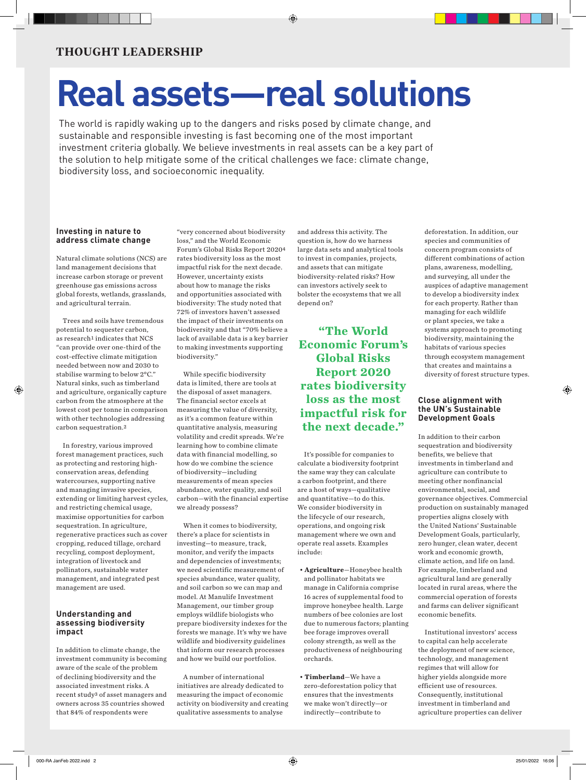# **Real assets—real solutions**

The world is rapidly waking up to the dangers and risks posed by climate change, and sustainable and responsible investing is fast becoming one of the most important investment criteria globally. We believe investments in real assets can be a key part of the solution to help mitigate some of the critical challenges we face: climate change, biodiversity loss, and socioeconomic inequality.

## **Investing in nature to address climate change**

Natural climate solutions (NCS) are land management decisions that increase carbon storage or prevent greenhouse gas emissions across global forests, wetlands, grasslands, and agricultural terrain.

Trees and soils have tremendous potential to sequester carbon, as research<sup>1</sup> indicates that NCS "can provide over one-third of the cost-effective climate mitigation needed between now and 2030 to stabilise warming to below 2°C." Natural sinks, such as timberland and agriculture, organically capture carbon from the atmosphere at the [lowest cost per tonne](https://www.goldmansachs.com/insights/pages/gs-research/carbonomics-green-engine-of-economic-recovery-f/report.pdf) [in comparison](https://www.goldmansachs.com/insights/pages/gs-research/carbonomics-green-engine-of-economic-recovery-f/report.pdf) [with other technologies addressing](https://www.goldmansachs.com/insights/pages/gs-research/carbonomics-green-engine-of-economic-recovery-f/report.pdf)  [carbon sequestration.2](https://www.goldmansachs.com/insights/pages/gs-research/carbonomics-green-engine-of-economic-recovery-f/report.pdf) 

In forestry, various improved forest management practices, such as protecting and restoring highconservation areas, defending watercourses, supporting native and managing invasive species, extending or limiting harvest cycles, and restricting chemical usage, maximise opportunities for carbon sequestration. In agriculture, regenerative practices such as cover cropping, reduced tillage, orchard recycling, compost deployment, integration of livestock and pollinators, sustainable water management, and integrated pest management are used.

### **Understanding and assessing biodiversity impact**

In addition to climate change, the investment community is becoming aware of the scale of the problem of declining biodiversity and the associated investment risks. A [recent study](https://www.credit-suisse.com/about-us-news/en/articles/news-and-expertise/unearthing-investor-action-within-biodiversity-finance-202101.html)3 of asset managers and owners across 35 countries showed that 84% of respondents were

"very concerned about biodiversity loss," and the World Economic Forum's [Global Risks Report 2020](https://www.weforum.org/reports/the-global-risks-report-2020)4 rates biodiversity loss as the most impactful risk for the next decade. However, uncertainty exists about how to manage the risks and opportunities associated with biodiversity: The study noted that 72% of investors haven't assessed the impact of their investments on biodiversity and that "70% believe a lack of available data is a key barrier to making investments supporting biodiversity."

While specific biodiversity data is limited, there are tools at the disposal of asset managers. The financial sector excels at measuring the value of diversity, as it's a common feature within quantitative analysis, measuring volatility and credit spreads. We're learning how to combine climate data with financial modelling, so how do we combine the science of biodiversity—including measurements of mean species abundance, water quality, and soil carbon—with the financial expertise we already possess?

When it comes to biodiversity, there's a place for scientists in investing—to measure, track, monitor, and verify the impacts and dependencies of investments; we need scientific measurement of species abundance, water quality, and soil carbon so we can map and model. At Manulife Investment Management, our timber group employs wildlife biologists who prepare biodiversity indexes for the forests we manage. It's why we have wildlife and biodiversity guidelines that inform our research processes and how we build our portfolios.

A number of international initiatives are already dedicated to measuring the impact of economic activity on biodiversity and creating qualitative assessments to analyse

and address this activity. The question is, how do we harness large data sets and analytical tools to invest in companies, projects, and assets that can mitigate biodiversity-related risks? How can investors actively seek to bolster the ecosystems that we all depend on?

**"The World Economic Forum's Global Risks Report 2020 rates biodiversity loss as the most impactful risk for the next decade."**

It's possible for companies to calculate a biodiversity footprint the same way they can calculate a carbon footprint, and there are a host of ways—qualitative and quantitative—to do this. We consider biodiversity in the lifecycle of our research, operations, and ongoing risk management where we own and operate real assets. Examples include:

- **Agriculture**—Honeybee health and pollinator habitats we manage in California comprise 16 acres of supplemental food to improve honeybee health. Large numbers of bee colonies are lost due to numerous factors; planting bee forage improves overall colony strength, as well as the productiveness of neighbouring orchards.
- **Timberland**[—We have a](https://hancocknaturalresourcegroup.com/wp-content/uploads/2020/01/HNRG-Zero-Deforestation-Policy-2020.01.23_web-version.pdf)  [zero-deforestation policy](https://hancocknaturalresourcegroup.com/wp-content/uploads/2020/01/HNRG-Zero-Deforestation-Policy-2020.01.23_web-version.pdf) that ensures that the investments we make won't directly—or indirectly—contribute to

deforestation. In addition, our species and communities of concern program consists of different combinations of action plans, awareness, modelling, and surveying, all under the auspices of adaptive management to develop a biodiversity index for each property. Rather than managing for each wildlife or plant species, we take a systems approach to promoting biodiversity, maintaining the habitats of various species through ecosystem management that creates and maintains a diversity of forest structure types.

### **Close alignment with the UN's Sustainable Development Goals**

In addition to their carbon sequestration and biodiversity benefits, we believe that investments in timberland and agriculture can contribute to meeting other nonfinancial environmental, social, and governance objectives. Commercial production on sustainably managed properties aligns closely with the United Nations' Sustainable Development Goals, particularly, zero hunger, clean water, decent work and economic growth, climate action, and life on land. For example, timberland and agricultural land are generally located in rural areas, where the commercial operation of forests and farms can deliver significant economic benefits.

Institutional investors' access to capital can help accelerate the deployment of new science, technology, and management regimes that will allow for higher yields alongside more efficient use of resources. Consequently, institutional investment in timberland and agriculture properties can deliver